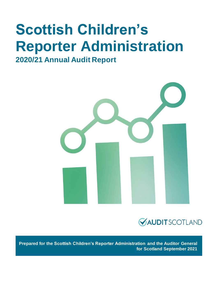# **Scottish Children's Reporter Administration**

## **2020/21 Annual Audit Report**





**Prepared for the Scottish Children's Reporter Administration and the Auditor General for Scotland September 2021**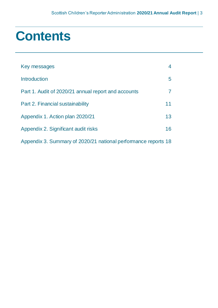# **Contents**

| Key messages                                                   | $\overline{4}$ |
|----------------------------------------------------------------|----------------|
| <b>Introduction</b>                                            | 5              |
| Part 1. Audit of 2020/21 annual report and accounts            | 7              |
| Part 2. Financial sustainability                               | 11             |
| Appendix 1. Action plan 2020/21                                | 13             |
| Appendix 2. Significant audit risks                            | 16             |
| Appendix 3. Summary of 2020/21 national performance reports 18 |                |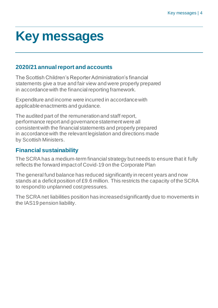# <span id="page-3-0"></span>**Key messages**

### **2020/21 annual report and accounts**

The Scottish Children's Reporter Administration's financial statements give a true and fair view and were properly prepared in accordance with the financial reporting framework.

Expenditure and income were incurred in accordance with applicable enactments and guidance.

The audited part of the remuneration and staff report, performance report and governance statement were all consistent with the financial statements and properly prepared in accordance with the relevant legislation and directions made by Scottish Ministers.

### **Financial sustainability**

The SCRA has a medium-term financial strategy but needs to ensure that it fully reflects the forward impact of Covid-19 on the Corporate Plan

The general fund balance has reduced significantly in recent years and now stands at a deficit position of £9.6 million. This restricts the capacity of the SCRA to respond to unplanned cost pressures.

The SCRA net liabilities position has increased significantly due to movements in the IAS19 pension liability.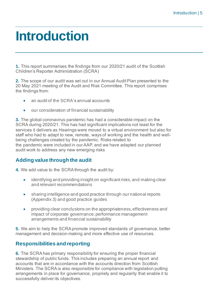# <span id="page-4-0"></span>**Introduction**

**1.** This report summarises the findings from our 2020/21 audit of the Scottish Children's Reporter Administration (SCRA)

**2.** The scope of our audit was set out in our Annual Audit Plan presented to the 20 May 2021 meeting of the Audit and Risk Committee. This report comprises the findings from:

- an audit of the SCRA's annual accounts
- our consideration of financial sustainability

**3.** The global coronavirus pandemic has had a considerable impact on the SCRA during 2020/21. This has had significant implications not least for the services it delivers as Hearings were moved to a virtual environment but also for staff who had to adapt to new, remote, ways of working and the health and wellbeing challenges created by the pandemic. Risks related to the pandemic were included in our AAP, and we have adapted our planned audit work to address any new emerging risks

#### **Adding value through the audit**

**4.** We add value to the SCRA through the audit by:

- identifying and providing insight on significant risks, and making clear and relevant recommendations
- sharing intelligence and good practice through our national reports [\(Appendix 3\)](#page-17-0) and good practice guides
- providing clear conclusions on the appropriateness, effectiveness and impact of corporate governance, performance management arrangements and financial sustainability

**5.** We aim to help the SCRA promote improved standards of governance, better management and decision making and more effective use of resources.

#### **Responsibilities and reporting**

**6.** The SCRAhas primary responsibility for ensuring the proper financial stewardship of public funds. This includes preparing an annual report and accounts that are in accordance with the accounts direction from Scottish Ministers. The SCRAis also responsible for compliance with legislation putting arrangements in place for governance, propriety and regularity that enable it to successfully deliver its objectives.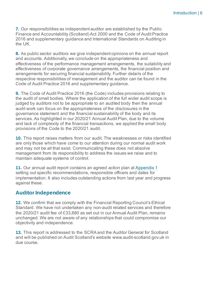**7.** Our responsibilities as independent auditor are established by the Public Finance and Accountability (Scotland) Act 2000 and the Code of Audit Practice 2016 and supplementary guidance and International Standards on Auditing in the UK.

**8.** As public sector auditors we give independent opinions on the annual report and accounts. Additionally, we conclude on the appropriateness and effectiveness of the performance management arrangements, the suitability and effectiveness of corporate governance arrangements, the financial position and arrangements for securing financial sustainability. Further details of the respective responsibilities of management and the auditor can be found in the Code of Audit Practice 2016 and supplementary guidance.

**9.** The [Code of Audit Practice 2016](http://www.audit-scotland.gov.uk/report/code-of-audit-practice-2016) (the Code) includes provisions relating to the audit of small bodies. Where the application of the full wider audit scope is judged by auditors not to be appropriate to an audited body then the annual audit work can focus on the appropriateness of the disclosures in the governance statement and the financial sustainability of the body and its services. As highlighted in our 2020/21 Annual Audit Plan, due to the volume and lack of complexity of the financial transactions, we applied the small body provisions of the Code to the 2020/21 audit.

**10.** This report raises matters from our audit. The weaknesses or risks identified are only those which have come to our attention during our normal audit work and may not be all that exist. Communicating these does not absolve management from its responsibility to address the issues we raise and to maintain adequate systems of control.

**11.** Our annual audit report contains an agreed action plan at [Appendix 1](#page-12-0) setting out specific recommendations, responsible officers and dates for implementation. It also includes outstanding actions from last year and progress against these.

#### **Auditor Independence**

**12.** We confirm that we comply with the Financial Reporting Council's Ethical Standard. We have not undertaken any non-audit related services and therefore the 2020/21 audit fee of £33,680 as set out in our Annual Audit Plan, remains unchanged. We are not aware of any relationships that could compromise our objectivity and independence.

**13.** This report is addressed to the SCRAand the Auditor General for Scotland and will be published on Audit Scotland's website [www.audit-scotland.gov.uk](http://www.audit-scotland.gov.uk/) in due course.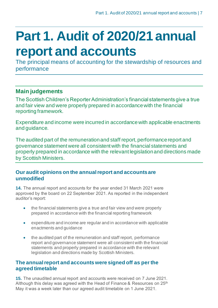# <span id="page-6-0"></span>**Part 1. Audit of 2020/21 annual report and accounts**

The principal means of accounting for the stewardship of resources and performance

### **Main judgements**

The Scottish Children's Reporter Administration's financial statements give a true and fair view and were properly prepared in accordance with the financial reporting framework.

Expenditure and income were incurred in accordance with applicable enactments and guidance.

The audited part of the remuneration and staff report, performance report and governance statement were all consistent with the financial statements and properly prepared in accordance with the relevant legislation and directions made by Scottish Ministers.

#### **Our audit opinions on the annual report and accounts are unmodified**

**14.** The annual report and accounts for the year ended 31 March 2021 were approved by the board on 22 September 2021. As reported in the independent auditor's report:

- the financial statements give a true and fair view and were properly prepared in accordance with the financial reporting framework
- expenditure and income are regular and in accordance with applicable enactments and guidance
- the audited part of the remuneration and staff report, performance report and governance statement were all consistent with the financial statements and properly prepared in accordance with the relevant legislation and directions made by Scottish Ministers.

#### **The annual report and accounts were signed off as per the agreed timetable**

**15.** The unaudited annual report and accounts were received on 7 June 2021. Although this delay was agreed with the Head of Finance & Resources on  $25<sup>th</sup>$ May it was a week later than our agreed audit timetable on 1 June 2021.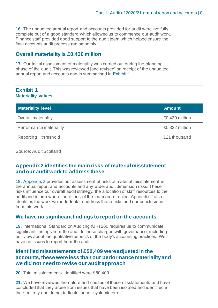**16.** The unaudited annual report and accounts provided for audit were not fully complete but of a good standard which allowed us to commence our audit work. Finance staff provided good support to the audit team which helped ensure the final accounts audit process ran smoothly.

#### **Overall materiality is £0.430 million**

**17.** Our initial assessment of materiality was carried out during the planning phase of the audit. This was reviewed [and revised] on receipt of the unaudited annual report and accounts and is summarised in [Exhibit](#page-7-0) 1.

#### <span id="page-7-0"></span>**Exhibit 1 Materiality values**

| <b>Materiality level</b> | <b>Amount</b>  |
|--------------------------|----------------|
| Overall materiality      | £0.430 million |
| Performance materiality  | £0.322 million |
| Reporting<br>threshold   | £21 thousand   |

#### Source: Audit Scotland

#### **[Appendix 2](#page-15-0) identifies the main risks of material misstatement and our audit work to address these**

**18.** [Appendix 2](#page-15-0) provides our assessment of risks of material misstatement in the annual report and accounts and any wider audit dimension risks. These risks influence our overall audit strategy, the allocation of staff resources to the audit and inform where the efforts of the team are directed. Appendix 2 also identifies the work we undertook to address these risks and our conclusions from this work.

#### **We have no significant findings to report on the accounts**

**19.** International Standard on Auditing (UK) 260 requires us to communicate significant findings from the audit to those charged with governance, including our view about the qualitative aspects of the body's accounting practices. We have no issues to report from the audit.

#### **Identified misstatements of £50,409 were adjusted in the accounts, these were less than our performance materiality and we did not need to revise our audit approach**

**20.** Total misstatements identified were £50,409

**21.** We have reviewed the nature and causes of these misstatements and have concluded that they arose from issues that have been isolated and identified in their entirety and do not indicate further systemic error.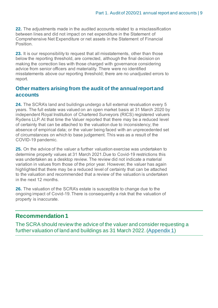**22.** The adjustments made in the audited accounts related to a misclassification between lines and did not impact on net expenditure in the Statement of Comprehensive Net Expenditure or net assets in the Statement of Financial Position.

**23.** It is our responsibility to request that all misstatements, other than those below the reporting threshold, are corrected, although the final decision on making the correction lies with those charged with governance considering advice from senior officers and materiality. There were no identified misstatements above our reporting threshold; there are no unadjusted errors to report.

#### **Other matters arising from the audit of the annual report and accounts**

<span id="page-8-0"></span>**24.** The SCRA's land and buildings undergo a full external revaluation every 5 years. The full estate was valued on an open market basis at 31 March 2020 by independent Royal Institution of Chartered Surveyors (RICS) registered valuers Rydens LLP.At that time the Valuer reported that there may be a reduced level of certainty that can be attached to the valuation due to inconsistency; the absence of empirical data; or the valuer being faced with an unprecedented set of circumstances on which to base judgement. This was as a result of the COVID-19 pandemic.

**25.** On the advice of the valuer a further valuation exercise was undertaken to determine property values at 31 March 2021.Due to Covid-19 restrictions this was undertaken as a desktop review. The review did not indicate a material variation in values from those of the prior year. However, the valuer has again highlighted that there may be a reduced level of certainty that can be attached to the valuation and recommended that a review of the valuation is undertaken in the next 12 months.

**26.** The valuation of the SCRA's estate is susceptible to change due to the ongoing impact of Covid-19. There is consequently a risk that the valuation of property is inaccurate.

### **Recommendation 1**

<span id="page-8-1"></span>The SCRA should review the advice of the valuer and consider requesting a further valuation of land and buildings as 31 March 2022.[\(Appendix 1](#page-12-0))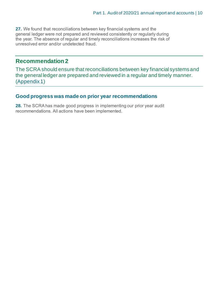**27.** We found that reconciliations between key financial systems and the general ledger were not prepared and reviewed consistently or regularly during the year. The absence of regular and timely reconciliations increases the risk of unresolved error and/or undetected fraud.

### **Recommendation 2**

The SCRA should ensure that reconciliations between key financial systems and the general ledger are prepared and reviewed in a regular and timely manner. [\(Appendix 1\)](#page-12-0)

#### **Good progress was made on prior year recommendations**

**28.** The SCRAhas made good progress in implementing our prior year audit recommendations. All actions have been implemented.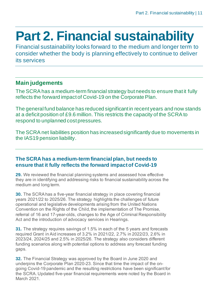# <span id="page-10-0"></span>**Part 2. Financial sustainability**

Financial sustainability looks forward to the medium and longer term to consider whether the body is planning effectively to continue to deliver its services

### **Main judgements**

The SCRA has a medium-term financial strategy but needs to ensure that it fully reflects the forward impact of Covid-19 on the Corporate Plan.

The general fund balance has reduced significant in recent years and now stands at a deficit position of £9.6 million. This restricts the capacity of the SCRA to respond to unplanned cost pressures.

The SCRA net liabilities position has increased significantly due to movements in the IAS19 pension liability.

#### **The SCRA has a medium-term financial plan, but needs to ensure that it fully reflects the forward impact of Covid-19**

**29.** We reviewed the financial planning systems and assessed how effective they are in identifying and addressing risks to financial sustainability across the medium and long term.

**30.** The SCRA has a five-year financial strategy in place covering financial years 2021/22 to 2025/26. The strategy highlights the challenges of future operational and legislative developments arising from the United Nations Convention on the Rights of the Child, the implementation of The Promise, referral of 16 and 17-year-olds, changes to the Age of Criminal Responsibility Act and the introduction of advocacy services in Hearings.

**31.** The strategy requires savings of 1.5% in each of the 5 years and forecasts required Grant in Aid increases of 3.2% in 2021/22, 2.7% in 2022/23, 2.6% in 2023/24, 2024/25 and 2.5% in 2025/26. The strategy also considers different funding scenarios along with potential options to address any forecast funding gaps.

<span id="page-10-1"></span>**32.** The Financial Strategy was approved by the Board in June 2020 and underpins the Corporate Plan 2020-23. Since that time the impact of the ongoing Covid-19 pandemic and the resulting restrictions have been significant for the SCRA. Updated five-year financial requirements were noted by the Board in March 2021.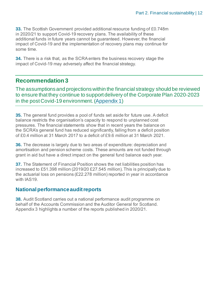**33.** The Scottish Government provided additional resource funding of £0.748m in 2020/21 to support Covid-19 recovery plans. The availability of these additional funds in future years cannot be guaranteed. However, the financial impact of Covid-19 and the implementation of recovery plans may continue for some time.

**34.** There is a risk that, as the SCRA enters the business recovery stage the impact of Covid-19 may adversely affect the financial strategy.

### **Recommendation 3**

The assumptions and projections within the financial strategy should be reviewed to ensure that they continue to support delivery of the Corporate Plan 2020-2023 in the post Covid-19 environment.[\(Appendix 1\)](#page-12-0)

**35.** The general fund provides a pool of funds set aside for future use. A deficit balance restricts the organisation's capacity to respond to unplanned cost pressures. The financial statements show that in recent years the balance on the SCRA's general fund has reduced significantly, falling from a deficit position of £0.4 million at 31 March 2017 to a deficit of £9.6 million at 31 March 2021.

**36.** The decrease is largely due to two areas of expenditure: depreciation and amortisation and pension scheme costs. These amounts are not funded through grant in aid but have a direct impact on the general fund balance each year.

**37.** The Statement of Financial Position shows the net liabilities position has increased to £51.398 million (2019/20 £27.545 million). This is principally due to the actuarial loss on pensions (£22.278 million) reported in year in accordance with IAS19.

#### **National performance audit reports**

**38.** Audit Scotland carries out a national performance audit programme on behalf of the Accounts Commission and the Auditor General for Scotland. Appendix 3 highlights a number of the reports published in 2020/21.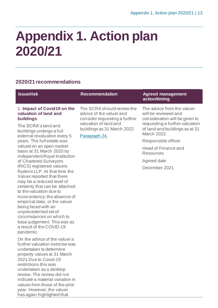# <span id="page-12-0"></span>**Appendix 1. Action plan 2020/21**

#### **2020/21 recommendations**

| <b>Issue/risk</b>                                                                                                                                                                                                                                                                                                                                                                                                                                                                                                                                                                                                                                                                                                 | <b>Recommendation</b>                                                                                                                                            | <b>Agreed management</b><br>action/timing                                                                                                                                                                                                                                 |
|-------------------------------------------------------------------------------------------------------------------------------------------------------------------------------------------------------------------------------------------------------------------------------------------------------------------------------------------------------------------------------------------------------------------------------------------------------------------------------------------------------------------------------------------------------------------------------------------------------------------------------------------------------------------------------------------------------------------|------------------------------------------------------------------------------------------------------------------------------------------------------------------|---------------------------------------------------------------------------------------------------------------------------------------------------------------------------------------------------------------------------------------------------------------------------|
| 1. Impact of Covid19 on the<br>valuation of land and<br>buildings<br>The SCRA's land and<br>buildings undergo a full<br>external revaluation every 5<br>years. The full estate was<br>valued on an open market<br>basis at 31 March 2020 by<br>independent Royal Institution<br>of Chartered Surveyors<br>(RICS) registered valuers<br>Rydens LLP. At that time the<br>Valuer reported that there<br>may be a reduced level of<br>certainty that can be attached<br>to the valuation due to<br>inconsistency; the absence of<br>empirical data; or the valuer<br>being faced with an<br>unprecedented set of<br>circumstances on which to<br>base judgement. This was as<br>a result of the COVID-19<br>pandemic. | The SCRA should review the<br>advice of the valuer and<br>consider requesting a further<br>valuation of land and<br>buildings as 31 March 2022.<br>Paragraph 24. | The advice from the valuer<br>will be reviewed and<br>consideration will be given to<br>requesting a further valuation<br>of land and buildings as at 31<br>March 2022.<br>Responsible officer<br>Head of Finance and<br><b>Resources</b><br>Agreed date<br>December 2021 |

On the advice of the valuer a further valuation exercise was undertaken to determine property values at 31 March 2021.Due to Covid-19 restrictions this was undertaken as a desktop review. The review did not indicate a material variation in values from those of the prior year. However, the valuer has again highlighted that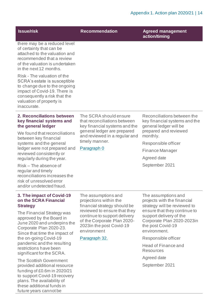| <b>Issue/risk</b>                                                                                                                                                                                                                                                                                                                                                                                                                                                                                                                                       | <b>Recommendation</b>                                                                                                                                                                                                                    | <b>Agreed management</b><br>action/timing                                                                                                                                                                                                                                                                           |
|---------------------------------------------------------------------------------------------------------------------------------------------------------------------------------------------------------------------------------------------------------------------------------------------------------------------------------------------------------------------------------------------------------------------------------------------------------------------------------------------------------------------------------------------------------|------------------------------------------------------------------------------------------------------------------------------------------------------------------------------------------------------------------------------------------|---------------------------------------------------------------------------------------------------------------------------------------------------------------------------------------------------------------------------------------------------------------------------------------------------------------------|
| there may be a reduced level<br>of certainty that can be<br>attached to the valuation and<br>recommended that a review<br>of the valuation is undertaken<br>in the next 12 months.                                                                                                                                                                                                                                                                                                                                                                      |                                                                                                                                                                                                                                          |                                                                                                                                                                                                                                                                                                                     |
| Risk - The valuation of the<br>SCRA's estate is susceptible<br>to change due to the ongoing<br>impact of Covid-19. There is<br>consequently a risk that the<br>valuation of property is<br>inaccurate.                                                                                                                                                                                                                                                                                                                                                  |                                                                                                                                                                                                                                          |                                                                                                                                                                                                                                                                                                                     |
| 2. Reconciliations between<br>key financial systems and<br>the general ledger<br>We found that reconciliations<br>between key financial<br>systems and the general<br>ledger were not prepared and<br>reviewed consistently or<br>regularly during the year.<br>Risk - The absence of<br>regular and timely<br>reconciliations increases the<br>risk of unresolved error<br>and/or undetected fraud.                                                                                                                                                    | The SCRA should ensure<br>that reconciliations between<br>key financial systems and the<br>general ledger are prepared<br>and reviewed in a regular and<br>timely manner.<br>Paragraph 0                                                 | Reconciliations between the<br>key financial systems and the<br>general ledger will be<br>prepared and reviewed<br>monthly.<br>Responsible officer<br>Finance Manager<br>Agreed date<br>September 2021                                                                                                              |
| 3. The impact of Covid-19<br>on the SCRA Financial<br><b>Strategy</b><br>The Financial Strategy was<br>approved by the Board in<br>June 2020 and underpins the<br>Corporate Plan 2020-23.<br>Since that time the impact of<br>the on-going Covid-19<br>pandemic and the resulting<br>restrictions have been<br>significant for the SCRA.<br>The Scottish Government<br>provided additional resource<br>funding of £0.6m in 2020/21<br>to support Covid-19 recovery<br>plans. The availability of<br>these additional funds in<br>future years cannot be | The assumptions and<br>projections within the<br>financial strategy should be<br>reviewed to ensure that they<br>continue to support delivery<br>of the Corporate Plan 2020-<br>2023in the post Covid-19<br>environment<br>Paragraph 32. | The assumptions and<br>projects with the financial<br>strategy will be reviewed to<br>ensure that they continue to<br>support delivery of the<br>Corporate Plan 2020-2023in<br>the post Covid-19<br>environment.<br>Responsible officer<br>Head of Finance and<br><b>Resources</b><br>Agreed date<br>September 2021 |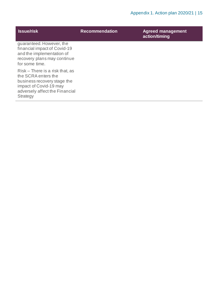| <b>Issue/risk</b>                                                                                                                                             | <b>Recommendation</b> | <b>Agreed management</b><br>action/timing |
|---------------------------------------------------------------------------------------------------------------------------------------------------------------|-----------------------|-------------------------------------------|
| quaranteed. However, the<br>financial impact of Covid-19<br>and the implementation of<br>recovery plans may continue<br>for some time.                        |                       |                                           |
| Risk – There is a risk that, as<br>the SCRA enters the<br>business recovery stage the<br>impact of Covid-19 may<br>adversely affect the Financial<br>Strategy |                       |                                           |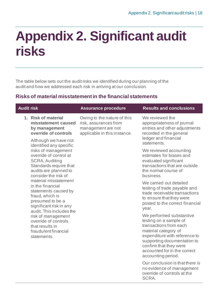# <span id="page-15-0"></span>**Appendix 2. Significant audit risks**

The table below sets out the audit risks we identified during our planning of the audit and how we addressed each risk in arriving at our conclusion.

### **Risks of material misstatement in the financial statements**

| <b>Audit risk</b>                                                                                                                                               | <b>Assurance procedure</b>                                                                                 | <b>Results and conclusions</b>                                                                                                                                                                                                                       |
|-----------------------------------------------------------------------------------------------------------------------------------------------------------------|------------------------------------------------------------------------------------------------------------|------------------------------------------------------------------------------------------------------------------------------------------------------------------------------------------------------------------------------------------------------|
| 1. Risk of material<br>misstatement caused<br>by management<br>override of controls                                                                             | Owing to the nature of this<br>risk, assurances from<br>management are not<br>applicable in this instance. | We reviewed the<br>appropriateness of journal<br>entries and other adjustments<br>recorded in the general<br>ledger and financial                                                                                                                    |
| Although we have not<br>identified any specific<br>risks of management                                                                                          |                                                                                                            | statements.<br>We reviewed accounting                                                                                                                                                                                                                |
| override of control at<br><b>SCRA, Auditing</b><br>Standards require that<br>audits are planned to<br>consider the risk of                                      |                                                                                                            | estimates for biases and<br>evaluated significant<br>transactions that are outside<br>the normal course of<br>business.                                                                                                                              |
| material misstatement<br>in the financial<br>statements caused by<br>fraud, which is<br>presumed to be a<br>significant risk in any<br>audit. This includes the |                                                                                                            | We carried out detailed<br>testing of trade payable and<br>trade receivable transactions<br>to ensure that they were<br>posted to the correct financial<br>year.                                                                                     |
| risk of management<br>override of controls<br>that results in<br>fraudulent financial<br>statements.                                                            |                                                                                                            | We performed substantive<br>testing on a sample of<br>transactions from each<br>material category of<br>expenditure with reference to<br>supporting documentation to<br>confirm that they were<br>accounted for in the correct<br>accounting period. |
|                                                                                                                                                                 |                                                                                                            | Our conclusion is that there is<br>no evidence of management<br>override of controls at the<br>SCRA.                                                                                                                                                 |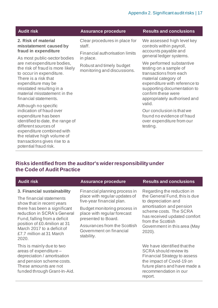#### Appendix 2. Significant audit risks | 17

| <b>Audit risk</b>                                                                                                                                                                                                                                         | <b>Assurance procedure</b>                                                             | <b>Results and conclusions</b>                                                                                                                                                                                             |
|-----------------------------------------------------------------------------------------------------------------------------------------------------------------------------------------------------------------------------------------------------------|----------------------------------------------------------------------------------------|----------------------------------------------------------------------------------------------------------------------------------------------------------------------------------------------------------------------------|
| 2. Risk of material<br>misstatement caused by<br>fraud in expenditure<br>As most public-sector bodies                                                                                                                                                     | Clear procedures in place for<br>staff.<br>Financial authorisation limits<br>in place. | We assessed high level key<br>controls within payroll,<br>accounts payable and<br>general ledger systems.                                                                                                                  |
| are net expenditure bodies,<br>the risk of fraud is more likely<br>to occur in expenditure.<br>There is a risk that<br>expenditure may be<br>misstated resulting in a<br>material misstatement in the<br>financial statements.                            | Robust and timely budget<br>monitoring and discussions.                                | We performed substantive<br>testing on a sample of<br>transactions from each<br>material category of<br>expenditure with reference to<br>supporting documentation to<br>confirm these were<br>appropriately authorised and |
| Although no specific<br>indication of fraud over<br>expenditure has been<br>identified to date, the range of<br>different sources of<br>expenditure combined with<br>the relative high volume of<br>transactions gives rise to a<br>potential fraud risk. |                                                                                        | valid.<br>Our conclusion is that we<br>found no evidence of fraud<br>over expenditure from our<br>testing.                                                                                                                 |

### **Risks identified from the auditor's wider responsibility under the Code of Audit Practice**

| <b>Audit risk</b>                                                                                                                                                        | <b>Assurance procedure</b>                                                         | <b>Results and conclusions</b>                                                                                                                                                                       |
|--------------------------------------------------------------------------------------------------------------------------------------------------------------------------|------------------------------------------------------------------------------------|------------------------------------------------------------------------------------------------------------------------------------------------------------------------------------------------------|
| 3. Financial sustainability<br>The financial statements                                                                                                                  | Financial planning process in<br>place with regular updates of                     | Regarding the reduction in<br>the General Fund, this is due                                                                                                                                          |
| show that in recent years                                                                                                                                                | five-year financial plan.                                                          | to depreciation and<br>amortisation and pension                                                                                                                                                      |
| there has been a significant<br>reduction in SCRA's General<br>Fund, falling from a deficit                                                                              | Budget monitoring process in<br>place with regular forecast<br>presented to Board. | scheme costs. The SCRA<br>has received updated comfort<br>from the Scottish<br>Government in this area (May<br>$2020$ ).                                                                             |
| position of £0.4milion at 31<br>March 2017 to a deficit of<br>£7.7 million at 31 March<br>2020.                                                                          | Assurances from the Scottish<br>Government on financial<br>stability.              |                                                                                                                                                                                                      |
| This is mainly due to two<br>areas of expenditure -<br>depreciation / amortisation<br>and pension scheme costs.<br>These amounts are not<br>funded through Grant-In-Aid. |                                                                                    | We have identified that the<br><b>SCRA</b> should review its<br><b>Financial Strategy to assess</b><br>the impact of Covid-19 on<br>future plans and have made a<br>recommendation in our<br>report. |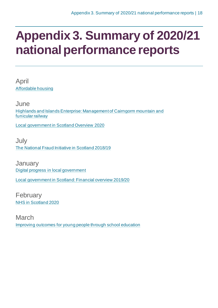# <span id="page-17-0"></span>**Appendix 3. Summary of 2020/21 national performance reports**

April [Affordable housing](https://www.audit-scotland.gov.uk/report/affordable-housing)

June [Highlands and Islands Enterprise: Management of Cairngorm mountain and](https://www.audit-scotland.gov.uk/report/highlands-and-islands-enterprise-management-of-cairngorm-mountain-and-funicular-railway)  [funicular railway](https://www.audit-scotland.gov.uk/report/highlands-and-islands-enterprise-management-of-cairngorm-mountain-and-funicular-railway)

[Local government in Scotland Overview 2020](https://www.audit-scotland.gov.uk/report/local-government-in-scotland-overview-2020)

**July** [The National Fraud Initiative in Scotland 2018/19](https://www.audit-scotland.gov.uk/report/the-national-fraud-initiative-in-scotland-201819)

**January** [Digital progress in local government](https://www.audit-scotland.gov.uk/report/digital-progress-in-local-government)

[Local government in Scotland: Financial overview 2019/20](https://www.audit-scotland.gov.uk/report/local-government-in-scotland-financial-overview-201920)

February [NHS in Scotland 2020](https://www.audit-scotland.gov.uk/report/nhs-in-scotland-2020)

March [Improving outcomes for young people through school education](https://www.audit-scotland.gov.uk/report/improving-outcomes-for-young-people-through-school-education)